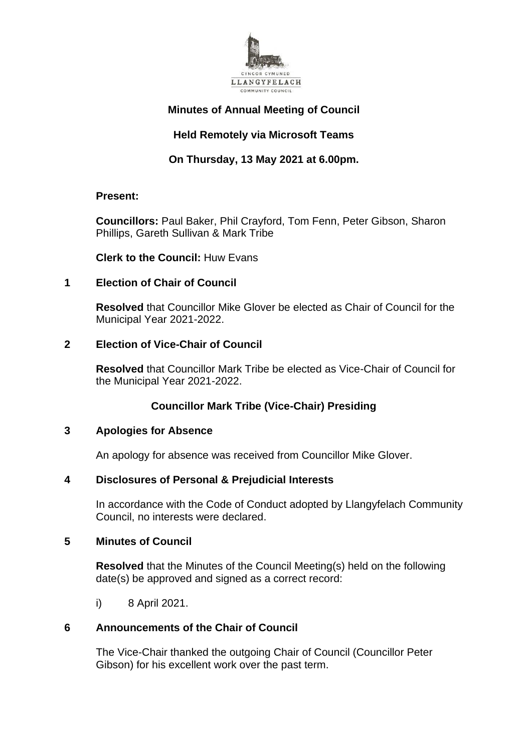

# **Minutes of Annual Meeting of Council**

# **Held Remotely via Microsoft Teams**

# **On Thursday, 13 May 2021 at 6.00pm.**

## **Present:**

**Councillors:** Paul Baker, Phil Crayford, Tom Fenn, Peter Gibson, Sharon Phillips, Gareth Sullivan & Mark Tribe

**Clerk to the Council:** Huw Evans

# **1 Election of Chair of Council**

**Resolved** that Councillor Mike Glover be elected as Chair of Council for the Municipal Year 2021-2022.

# **2 Election of Vice-Chair of Council**

**Resolved** that Councillor Mark Tribe be elected as Vice-Chair of Council for the Municipal Year 2021-2022.

# **Councillor Mark Tribe (Vice-Chair) Presiding**

# **3 Apologies for Absence**

An apology for absence was received from Councillor Mike Glover.

# **4 Disclosures of Personal & Prejudicial Interests**

In accordance with the Code of Conduct adopted by Llangyfelach Community Council, no interests were declared.

## **5 Minutes of Council**

**Resolved** that the Minutes of the Council Meeting(s) held on the following date(s) be approved and signed as a correct record:

i) 8 April 2021.

# **6 Announcements of the Chair of Council**

The Vice-Chair thanked the outgoing Chair of Council (Councillor Peter Gibson) for his excellent work over the past term.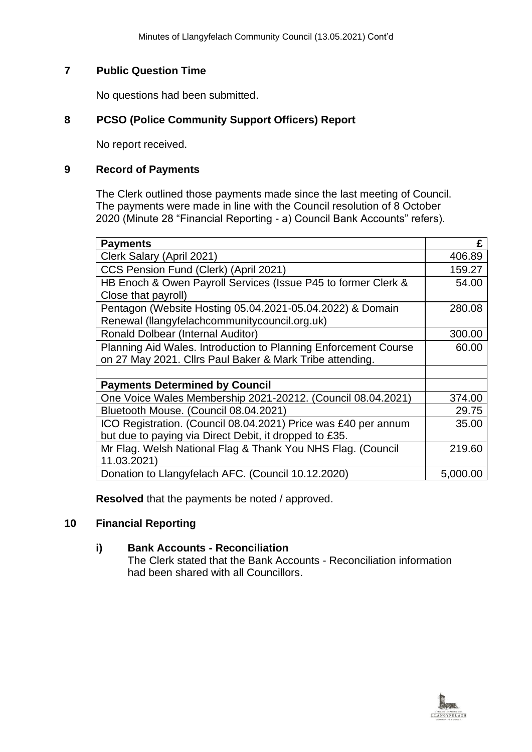# **7 Public Question Time**

No questions had been submitted.

# **8 PCSO (Police Community Support Officers) Report**

No report received.

#### **9 Record of Payments**

The Clerk outlined those payments made since the last meeting of Council. The payments were made in line with the Council resolution of 8 October 2020 (Minute 28 "Financial Reporting - a) Council Bank Accounts" refers).

| <b>Payments</b>                                                 | £        |
|-----------------------------------------------------------------|----------|
| Clerk Salary (April 2021)                                       | 406.89   |
| CCS Pension Fund (Clerk) (April 2021)                           | 159.27   |
| HB Enoch & Owen Payroll Services (Issue P45 to former Clerk &   | 54.00    |
| Close that payroll)                                             |          |
| Pentagon (Website Hosting 05.04.2021-05.04.2022) & Domain       | 280.08   |
| Renewal (llangyfelachcommunitycouncil.org.uk)                   |          |
| <b>Ronald Dolbear (Internal Auditor)</b>                        | 300.00   |
| Planning Aid Wales. Introduction to Planning Enforcement Course | 60.00    |
| on 27 May 2021. Cllrs Paul Baker & Mark Tribe attending.        |          |
|                                                                 |          |
| <b>Payments Determined by Council</b>                           |          |
| One Voice Wales Membership 2021-20212. (Council 08.04.2021)     | 374.00   |
| Bluetooth Mouse. (Council 08.04.2021)                           | 29.75    |
| ICO Registration. (Council 08.04.2021) Price was £40 per annum  | 35.00    |
| but due to paying via Direct Debit, it dropped to £35.          |          |
| Mr Flag. Welsh National Flag & Thank You NHS Flag. (Council     | 219.60   |
| 11.03.2021)                                                     |          |
| Donation to Llangyfelach AFC. (Council 10.12.2020)              | 5,000.00 |

**Resolved** that the payments be noted / approved.

## **10 Financial Reporting**

#### **i) Bank Accounts - Reconciliation** The Clerk stated that the Bank Accounts - Reconciliation information had been shared with all Councillors.

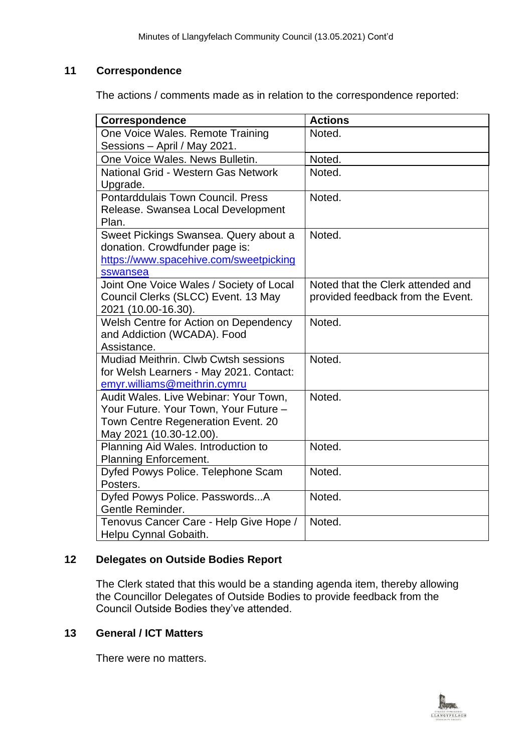# **11 Correspondence**

The actions / comments made as in relation to the correspondence reported:

| Correspondence                           | <b>Actions</b>                    |
|------------------------------------------|-----------------------------------|
| One Voice Wales. Remote Training         | Noted.                            |
| Sessions - April / May 2021.             |                                   |
| One Voice Wales, News Bulletin.          | Noted.                            |
| National Grid - Western Gas Network      | Noted.                            |
| Upgrade.                                 |                                   |
| Pontarddulais Town Council. Press        | Noted.                            |
| Release. Swansea Local Development       |                                   |
| Plan.                                    |                                   |
| Sweet Pickings Swansea. Query about a    | Noted.                            |
| donation. Crowdfunder page is:           |                                   |
| https://www.spacehive.com/sweetpicking   |                                   |
| sswansea                                 |                                   |
| Joint One Voice Wales / Society of Local | Noted that the Clerk attended and |
| Council Clerks (SLCC) Event. 13 May      | provided feedback from the Event. |
| 2021 (10.00-16.30).                      |                                   |
| Welsh Centre for Action on Dependency    | Noted.                            |
| and Addiction (WCADA). Food              |                                   |
| Assistance.                              |                                   |
| Mudiad Meithrin, Clwb Cwtsh sessions     | Noted.                            |
| for Welsh Learners - May 2021. Contact:  |                                   |
| emyr.williams@meithrin.cymru             |                                   |
| Audit Wales. Live Webinar: Your Town,    | Noted.                            |
| Your Future. Your Town, Your Future -    |                                   |
| Town Centre Regeneration Event. 20       |                                   |
| May 2021 (10.30-12.00).                  |                                   |
| Planning Aid Wales. Introduction to      | Noted.                            |
| Planning Enforcement.                    |                                   |
| Dyfed Powys Police. Telephone Scam       | Noted.                            |
| Posters.                                 |                                   |
| Dyfed Powys Police. PasswordsA           | Noted.                            |
| Gentle Reminder.                         |                                   |
| Tenovus Cancer Care - Help Give Hope /   | Noted.                            |
| Helpu Cynnal Gobaith.                    |                                   |

# **12 Delegates on Outside Bodies Report**

The Clerk stated that this would be a standing agenda item, thereby allowing the Councillor Delegates of Outside Bodies to provide feedback from the Council Outside Bodies they've attended.

# **13 General / ICT Matters**

There were no matters.

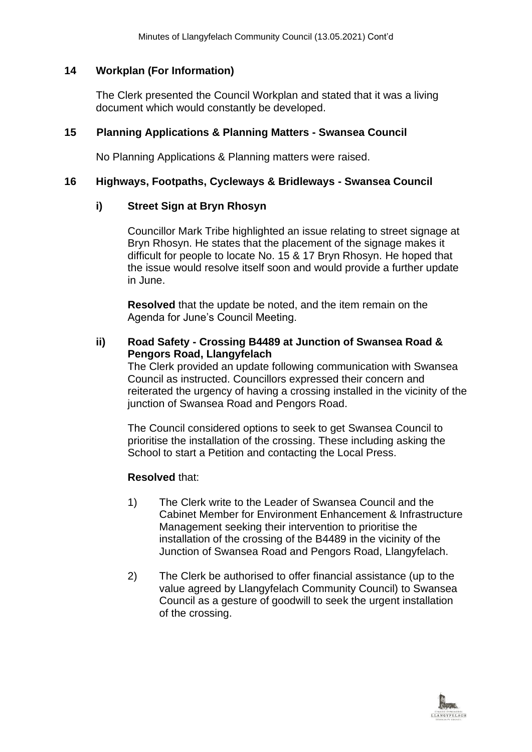# **14 Workplan (For Information)**

The Clerk presented the Council Workplan and stated that it was a living document which would constantly be developed.

# **15 Planning Applications & Planning Matters - Swansea Council**

No Planning Applications & Planning matters were raised.

#### **16 Highways, Footpaths, Cycleways & Bridleways - Swansea Council**

## **i) Street Sign at Bryn Rhosyn**

Councillor Mark Tribe highlighted an issue relating to street signage at Bryn Rhosyn. He states that the placement of the signage makes it difficult for people to locate No. 15 & 17 Bryn Rhosyn. He hoped that the issue would resolve itself soon and would provide a further update in June.

**Resolved** that the update be noted, and the item remain on the Agenda for June's Council Meeting.

**ii) Road Safety - Crossing B4489 at Junction of Swansea Road & Pengors Road, Llangyfelach**

The Clerk provided an update following communication with Swansea Council as instructed. Councillors expressed their concern and reiterated the urgency of having a crossing installed in the vicinity of the junction of Swansea Road and Pengors Road.

The Council considered options to seek to get Swansea Council to prioritise the installation of the crossing. These including asking the School to start a Petition and contacting the Local Press.

#### **Resolved** that:

- 1) The Clerk write to the Leader of Swansea Council and the Cabinet Member for Environment Enhancement & Infrastructure Management seeking their intervention to prioritise the installation of the crossing of the B4489 in the vicinity of the Junction of Swansea Road and Pengors Road, Llangyfelach.
- 2) The Clerk be authorised to offer financial assistance (up to the value agreed by Llangyfelach Community Council) to Swansea Council as a gesture of goodwill to seek the urgent installation of the crossing.

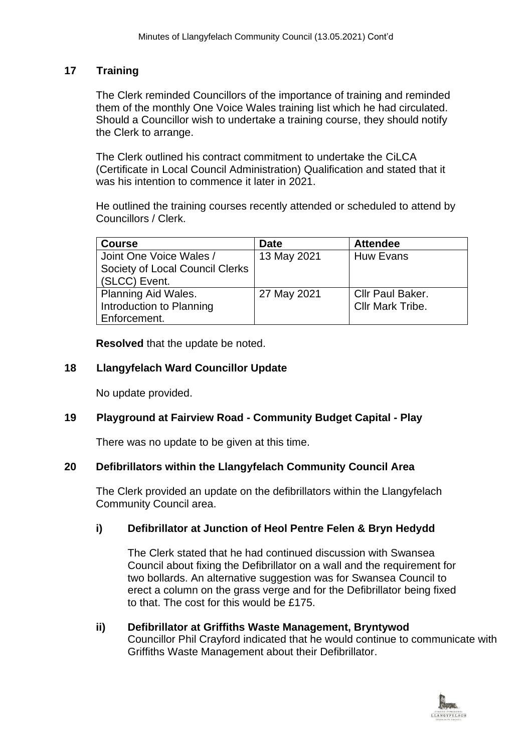# **17 Training**

The Clerk reminded Councillors of the importance of training and reminded them of the monthly One Voice Wales training list which he had circulated. Should a Councillor wish to undertake a training course, they should notify the Clerk to arrange.

The Clerk outlined his contract commitment to undertake the CiLCA (Certificate in Local Council Administration) Qualification and stated that it was his intention to commence it later in 2021.

He outlined the training courses recently attended or scheduled to attend by Councillors / Clerk.

| <b>Course</b>                   | <b>Date</b> | <b>Attendee</b>         |
|---------------------------------|-------------|-------------------------|
| Joint One Voice Wales /         | 13 May 2021 | Huw Evans               |
| Society of Local Council Clerks |             |                         |
| (SLCC) Event.                   |             |                         |
| <b>Planning Aid Wales.</b>      | 27 May 2021 | <b>Cllr Paul Baker.</b> |
| Introduction to Planning        |             | Cllr Mark Tribe.        |
| Enforcement.                    |             |                         |

**Resolved** that the update be noted.

## **18 Llangyfelach Ward Councillor Update**

No update provided.

## **19 Playground at Fairview Road - Community Budget Capital - Play**

There was no update to be given at this time.

## **20 Defibrillators within the Llangyfelach Community Council Area**

The Clerk provided an update on the defibrillators within the Llangyfelach Community Council area.

## **i) Defibrillator at Junction of Heol Pentre Felen & Bryn Hedydd**

The Clerk stated that he had continued discussion with Swansea Council about fixing the Defibrillator on a wall and the requirement for two bollards. An alternative suggestion was for Swansea Council to erect a column on the grass verge and for the Defibrillator being fixed to that. The cost for this would be £175.

## **ii) Defibrillator at Griffiths Waste Management, Bryntywod** Councillor Phil Crayford indicated that he would continue to communicate with Griffiths Waste Management about their Defibrillator.

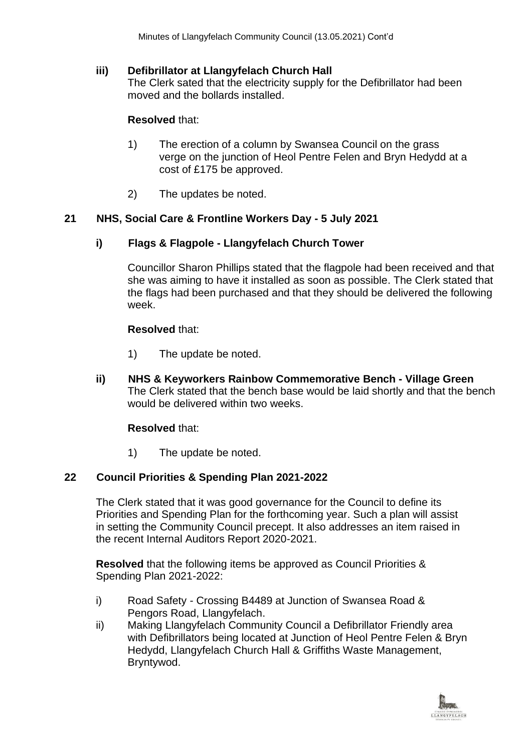# **iii) Defibrillator at Llangyfelach Church Hall**

The Clerk sated that the electricity supply for the Defibrillator had been moved and the bollards installed.

# **Resolved** that:

- 1) The erection of a column by Swansea Council on the grass verge on the junction of Heol Pentre Felen and Bryn Hedydd at a cost of £175 be approved.
- 2) The updates be noted.

## **21 NHS, Social Care & Frontline Workers Day - 5 July 2021**

# **i) Flags & Flagpole - Llangyfelach Church Tower**

Councillor Sharon Phillips stated that the flagpole had been received and that she was aiming to have it installed as soon as possible. The Clerk stated that the flags had been purchased and that they should be delivered the following week.

## **Resolved** that:

- 1) The update be noted.
- **ii) NHS & Keyworkers Rainbow Commemorative Bench - Village Green** The Clerk stated that the bench base would be laid shortly and that the bench would be delivered within two weeks.

## **Resolved** that:

1) The update be noted.

# **22 Council Priorities & Spending Plan 2021-2022**

The Clerk stated that it was good governance for the Council to define its Priorities and Spending Plan for the forthcoming year. Such a plan will assist in setting the Community Council precept. It also addresses an item raised in the recent Internal Auditors Report 2020-2021.

**Resolved** that the following items be approved as Council Priorities & Spending Plan 2021-2022:

- i) Road Safety Crossing B4489 at Junction of Swansea Road & Pengors Road, Llangyfelach.
- ii) Making Llangyfelach Community Council a Defibrillator Friendly area with Defibrillators being located at Junction of Heol Pentre Felen & Bryn Hedydd, Llangyfelach Church Hall & Griffiths Waste Management, Bryntywod.

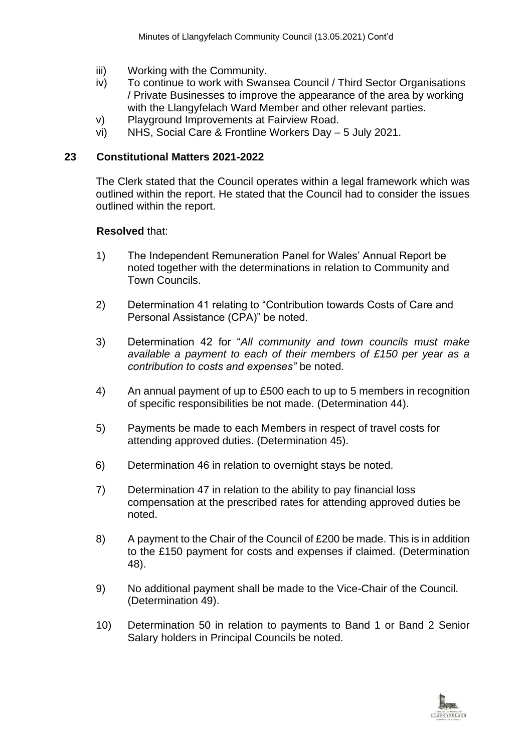- iii) Working with the Community.
- iv) To continue to work with Swansea Council / Third Sector Organisations / Private Businesses to improve the appearance of the area by working with the Llangyfelach Ward Member and other relevant parties.
- v) Playground Improvements at Fairview Road.
- vi) NHS, Social Care & Frontline Workers Day 5 July 2021.

#### **23 Constitutional Matters 2021-2022**

The Clerk stated that the Council operates within a legal framework which was outlined within the report. He stated that the Council had to consider the issues outlined within the report.

#### **Resolved** that:

- 1) The Independent Remuneration Panel for Wales' Annual Report be noted together with the determinations in relation to Community and Town Councils.
- 2) Determination 41 relating to "Contribution towards Costs of Care and Personal Assistance (CPA)" be noted.
- 3) Determination 42 for "*All community and town councils must make available a payment to each of their members of £150 per year as a contribution to costs and expenses"* be noted.
- 4) An annual payment of up to £500 each to up to 5 members in recognition of specific responsibilities be not made. (Determination 44).
- 5) Payments be made to each Members in respect of travel costs for attending approved duties. (Determination 45).
- 6) Determination 46 in relation to overnight stays be noted.
- 7) Determination 47 in relation to the ability to pay financial loss compensation at the prescribed rates for attending approved duties be noted.
- 8) A payment to the Chair of the Council of £200 be made. This is in addition to the £150 payment for costs and expenses if claimed. (Determination 48).
- 9) No additional payment shall be made to the Vice-Chair of the Council. (Determination 49).
- 10) Determination 50 in relation to payments to Band 1 or Band 2 Senior Salary holders in Principal Councils be noted.

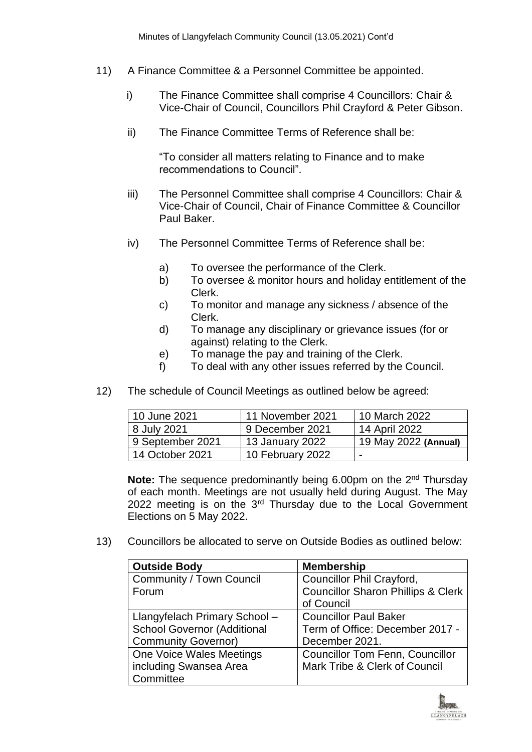- 11) A Finance Committee & a Personnel Committee be appointed.
	- i) The Finance Committee shall comprise 4 Councillors: Chair & Vice-Chair of Council, Councillors Phil Crayford & Peter Gibson.
	- ii) The Finance Committee Terms of Reference shall be:

"To consider all matters relating to Finance and to make recommendations to Council".

- iii) The Personnel Committee shall comprise 4 Councillors: Chair & Vice-Chair of Council, Chair of Finance Committee & Councillor Paul Baker.
- iv) The Personnel Committee Terms of Reference shall be:
	- a) To oversee the performance of the Clerk.
	- b) To oversee & monitor hours and holiday entitlement of the Clerk.
	- c) To monitor and manage any sickness / absence of the Clerk.
	- d) To manage any disciplinary or grievance issues (for or against) relating to the Clerk.
	- e) To manage the pay and training of the Clerk.
	- f) To deal with any other issues referred by the Council.
- 12) The schedule of Council Meetings as outlined below be agreed:

| 10 June 2021     | 11 November 2021 | 10 March 2022            |
|------------------|------------------|--------------------------|
| 8 July 2021      | 9 December 2021  | 14 April 2022            |
| 9 September 2021 | 13 January 2022  | 19 May 2022 (Annual)     |
| 14 October 2021  | 10 February 2022 | $\overline{\phantom{0}}$ |

**Note:** The sequence predominantly being 6.00pm on the 2<sup>nd</sup> Thursday of each month. Meetings are not usually held during August. The May 2022 meeting is on the 3<sup>rd</sup> Thursday due to the Local Government Elections on 5 May 2022.

13) Councillors be allocated to serve on Outside Bodies as outlined below:

| <b>Outside Body</b>                | <b>Membership</b>                             |
|------------------------------------|-----------------------------------------------|
| <b>Community / Town Council</b>    | Councillor Phil Crayford,                     |
| Forum                              | <b>Councillor Sharon Phillips &amp; Clerk</b> |
|                                    | of Council                                    |
| Llangyfelach Primary School -      | <b>Councillor Paul Baker</b>                  |
| <b>School Governor (Additional</b> | Term of Office: December 2017 -               |
| <b>Community Governor)</b>         | December 2021.                                |
| One Voice Wales Meetings           | <b>Councillor Tom Fenn, Councillor</b>        |
| including Swansea Area             | Mark Tribe & Clerk of Council                 |
| Committee                          |                                               |

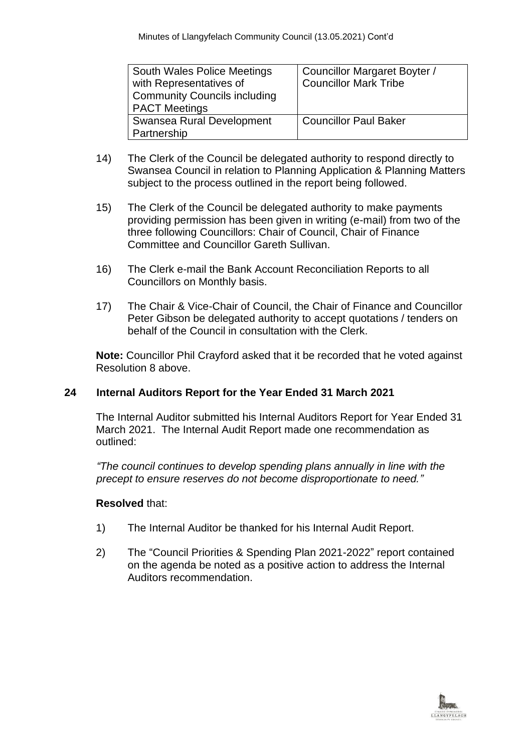| South Wales Police Meetings<br>with Representatives of<br><b>Community Councils including</b><br><b>PACT Meetings</b> | Councillor Margaret Boyter /<br><b>Councillor Mark Tribe</b> |
|-----------------------------------------------------------------------------------------------------------------------|--------------------------------------------------------------|
| Swansea Rural Development<br>Partnership                                                                              | <b>Councillor Paul Baker</b>                                 |

- 14) The Clerk of the Council be delegated authority to respond directly to Swansea Council in relation to Planning Application & Planning Matters subject to the process outlined in the report being followed.
- 15) The Clerk of the Council be delegated authority to make payments providing permission has been given in writing (e-mail) from two of the three following Councillors: Chair of Council, Chair of Finance Committee and Councillor Gareth Sullivan.
- 16) The Clerk e-mail the Bank Account Reconciliation Reports to all Councillors on Monthly basis.
- 17) The Chair & Vice-Chair of Council, the Chair of Finance and Councillor Peter Gibson be delegated authority to accept quotations / tenders on behalf of the Council in consultation with the Clerk.

**Note:** Councillor Phil Crayford asked that it be recorded that he voted against Resolution 8 above.

## **24 Internal Auditors Report for the Year Ended 31 March 2021**

The Internal Auditor submitted his Internal Auditors Report for Year Ended 31 March 2021. The Internal Audit Report made one recommendation as outlined:

*"The council continues to develop spending plans annually in line with the precept to ensure reserves do not become disproportionate to need."*

## **Resolved** that:

- 1) The Internal Auditor be thanked for his Internal Audit Report.
- 2) The "Council Priorities & Spending Plan 2021-2022" report contained on the agenda be noted as a positive action to address the Internal Auditors recommendation.